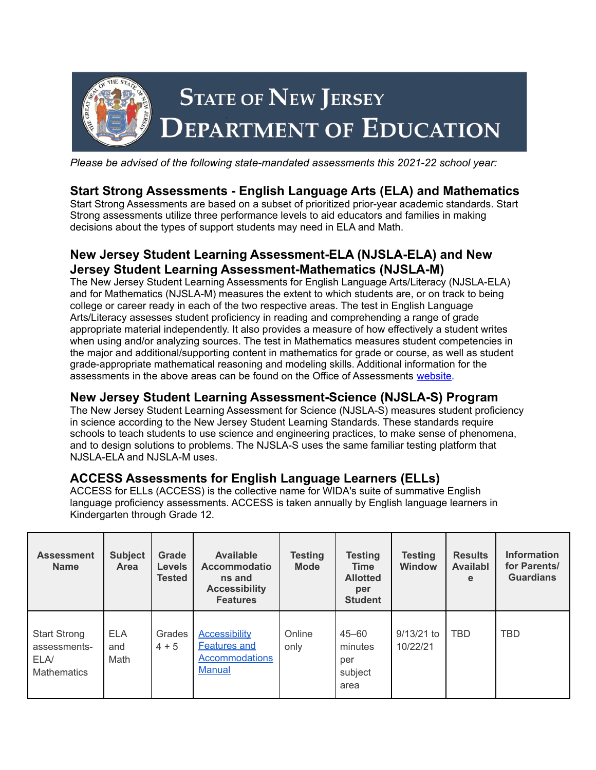

*Please be advised of the following state-mandated assessments this 2021-22 school year:*

## **Start Strong Assessments - English Language Arts (ELA) and Mathematics**

Start Strong Assessments are based on a subset of prioritized prior-year academic standards. Start Strong assessments utilize three performance levels to aid educators and families in making decisions about the types of support students may need in ELA and Math.

## **New Jersey Student Learning Assessment-ELA (NJSLA-ELA) and New Jersey Student Learning Assessment-Mathematics (NJSLA-M)**

The New Jersey Student Learning Assessments for English Language Arts/Literacy (NJSLA-ELA) and for Mathematics (NJSLA-M) measures the extent to which students are, or on track to being college or career ready in each of the two respective areas. The test in English Language Arts/Literacy assesses student proficiency in reading and comprehending a range of grade appropriate material independently. It also provides a measure of how effectively a student writes when using and/or analyzing sources. The test in Mathematics measures student competencies in the major and additional/supporting content in mathematics for grade or course, as well as student grade-appropriate mathematical reasoning and modeling skills. Additional information for the assessments in the above areas can be found on the Office of Assessments [website](https://www.state.nj.us/education/assessment/).

## **New Jersey Student Learning Assessment-Science (NJSLA-S) Program**

The New Jersey Student Learning Assessment for Science (NJSLA-S) measures student proficiency in science according to the New Jersey Student Learning Standards. These standards require schools to teach students to use science and engineering practices, to make sense of phenomena, and to design solutions to problems. The NJSLA-S uses the same familiar testing platform that NJSLA-ELA and NJSLA-M uses.

## **ACCESS Assessments for English Language Learners (ELLs)**

ACCESS for ELLs (ACCESS) is the collective name for WIDA's suite of summative English language proficiency assessments. ACCESS is taken annually by English language learners in Kindergarten through Grade 12.

| <b>Assessment</b><br><b>Name</b>                                  | <b>Subject</b><br>Area    | Grade<br><b>Levels</b><br><b>Tested</b> | <b>Available</b><br><b>Accommodatio</b><br>ns and<br><b>Accessibility</b><br><b>Features</b> | Testing<br><b>Mode</b> | <b>Testing</b><br><b>Time</b><br><b>Allotted</b><br>per<br><b>Student</b> | <b>Testing</b><br><b>Window</b> | <b>Results</b><br>Availabl<br>e | <b>Information</b><br>for Parents/<br><b>Guardians</b> |
|-------------------------------------------------------------------|---------------------------|-----------------------------------------|----------------------------------------------------------------------------------------------|------------------------|---------------------------------------------------------------------------|---------------------------------|---------------------------------|--------------------------------------------------------|
| <b>Start Strong</b><br>assessments-<br>ELA/<br><b>Mathematics</b> | <b>ELA</b><br>and<br>Math | Grades<br>$4 + 5$                       | <b>Accessibility</b><br><b>Features and</b><br><b>Accommodations</b><br><b>Manual</b>        | Online<br>only         | 45–60<br>minutes<br>per<br>subject<br>area                                | $9/13/21$ to<br>10/22/21        | <b>TBD</b>                      | <b>TBD</b>                                             |